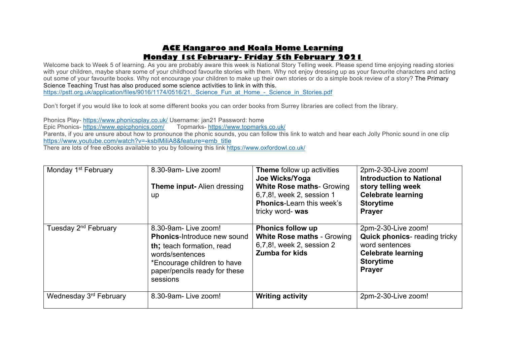# **ACE Kangaroo and Koala Home Learning Monday 1st February- Friday 5th February 2021**

Welcome back to Week 5 of learning. As you are probably aware this week is National Story Telling week. Please spend time enjoying reading stories with your children, maybe share some of your childhood favourite stories with them. Why not enjoy dressing up as your favourite characters and acting out some of your favourite books. Why not encourage your children to make up their own stories or do a simple book review of a story? The Primary Science Teaching Trust has also produced some science activities to link in with this. https://pstt.org.uk/application/files/9016/1174/0516/21. Science Fun at Home - Science in Stories.pdf

Don't forget if you would like to look at some different books you can order books from Surrey libraries are collect from the library.

Phonics Play- https://www.phonicsplay.co.uk/ Username: jan21 Password: home Epic Phonics- https://www.epicphonics.com/ Parents, if you are unsure about how to pronounce the phonic sounds, you can follow this link to watch and hear each Jolly Phonic sound in one clip https://www.youtube.com/watch?v=-ksblMiliA8&feature=emb\_title There are lots of free eBooks available to you by following this link https://www.oxfordowl.co.uk/

| Monday 1 <sup>st</sup> February  | 8.30-9am-Live zoom!<br><b>Theme input-Alien dressing</b><br>up                                                                                                                        | Theme follow up activities<br>Joe Wicks/Yoga<br><b>White Rose maths- Growing</b><br>6,7,8!, week 2, session 1<br><b>Phonics-Learn this week's</b><br>tricky word- was | 2pm-2-30-Live zoom!<br><b>Introduction to National</b><br>story telling week<br><b>Celebrate learning</b><br><b>Storytime</b><br><b>Prayer</b>  |
|----------------------------------|---------------------------------------------------------------------------------------------------------------------------------------------------------------------------------------|-----------------------------------------------------------------------------------------------------------------------------------------------------------------------|-------------------------------------------------------------------------------------------------------------------------------------------------|
| Tuesday 2 <sup>nd</sup> February | 8.30-9am-Live zoom!<br><b>Phonics-Introduce new sound</b><br>th; teach formation, read<br>words/sentences<br>*Encourage children to have<br>paper/pencils ready for these<br>sessions | <b>Phonics follow up</b><br><b>White Rose maths - Growing</b><br>6,7,8!, week 2, session 2<br><b>Zumba for kids</b>                                                   | 2pm-2-30-Live zoom!<br><b>Quick phonics-</b> reading tricky<br>word sentences<br><b>Celebrate learning</b><br><b>Storytime</b><br><b>Prayer</b> |
| Wednesday 3rd February           | 8.30-9am-Live zoom!                                                                                                                                                                   | <b>Writing activity</b>                                                                                                                                               | 2pm-2-30-Live zoom!                                                                                                                             |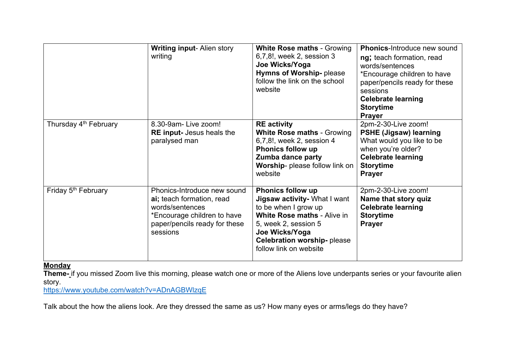|                                   | <b>Writing input-Alien story</b><br>writing                                                                                                             | <b>White Rose maths - Growing</b><br>6,7,8!, week 2, session 3<br>Joe Wicks/Yoga<br><b>Hymns of Worship-please</b><br>follow the link on the school<br>website                                                                  | <b>Phonics-Introduce new sound</b><br>ng; teach formation, read<br>words/sentences<br>*Encourage children to have<br>paper/pencils ready for these<br>sessions<br><b>Celebrate learning</b><br><b>Storytime</b><br><b>Prayer</b> |
|-----------------------------------|---------------------------------------------------------------------------------------------------------------------------------------------------------|---------------------------------------------------------------------------------------------------------------------------------------------------------------------------------------------------------------------------------|----------------------------------------------------------------------------------------------------------------------------------------------------------------------------------------------------------------------------------|
| Thursday 4 <sup>th</sup> February | 8.30-9am-Live zoom!<br><b>RE input-</b> Jesus heals the<br>paralysed man                                                                                | <b>RE</b> activity<br><b>White Rose maths - Growing</b><br>6,7,8!, week 2, session 4<br><b>Phonics follow up</b><br>Zumba dance party<br>Worship- please follow link on<br>website                                              | 2pm-2-30-Live zoom!<br><b>PSHE (Jigsaw) learning</b><br>What would you like to be<br>when you're older?<br><b>Celebrate learning</b><br><b>Storytime</b><br><b>Prayer</b>                                                        |
| Friday 5 <sup>th</sup> February   | Phonics-Introduce new sound<br>ai; teach formation, read<br>words/sentences<br>*Encourage children to have<br>paper/pencils ready for these<br>sessions | <b>Phonics follow up</b><br>Jigsaw activity- What I want<br>to be when I grow up<br><b>White Rose maths - Alive in</b><br>5, week 2, session 5<br>Joe Wicks/Yoga<br><b>Celebration worship-please</b><br>follow link on website | 2pm-2-30-Live zoom!<br>Name that story quiz<br><b>Celebrate learning</b><br><b>Storytime</b><br><b>Prayer</b>                                                                                                                    |

### **Monday**

**Theme-** if you missed Zoom live this morning, please watch one or more of the Aliens love underpants series or your favourite alien story.

https://www.youtube.com/watch?v=ADnAGBWlzqE

Talk about the how the aliens look. Are they dressed the same as us? How many eyes or arms/legs do they have?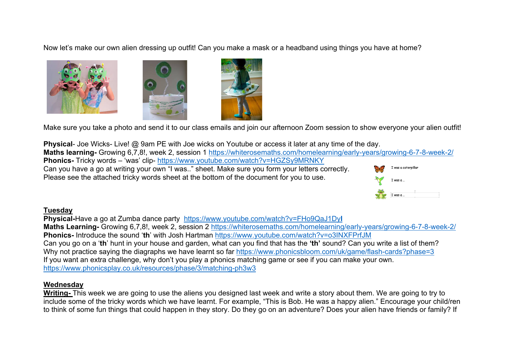Now let's make our own alien dressing up outfit! Can you make a mask or a headband using things you have at home?







Make sure you take a photo and send it to our class emails and join our afternoon Zoom session to show everyone your alien outfit!

**Physical**- Joe Wicks- Live! @ 9am PE with Joe wicks on Youtube or access it later at any time of the day. **Maths learning-** Growing 6,7,8!, week 2, session 1 https://whiterosemaths.com/homelearning/early-years/growing-6-7-8-week-2/ **Phonics-** Tricky words – 'was' clip- https://www.youtube.com/watch?v=HGZSy9MRNKY Can you have a go at writing your own "I was.." sheet. Make sure you form your letters correctly. .<br>was a caterpilla Please see the attached tricky words sheet at the bottom of the document for you to use.  $I$  was a



### **Tuesday**

**Physical-**Have a go at Zumba dance party https://www.youtube.com/watch?v=FHo9QaJ1Dy**I Maths Learning-** Growing 6,7,8!, week 2, session 2 https://whiterosemaths.com/homelearning/early-years/growing-6-7-8-week-2/ **Phonics-** Introduce the sound '**th**' with Josh Hartman https://www.youtube.com/watch?v=o3INXFPrfJM Can you go on a '**th**' hunt in your house and garden, what can you find that has the **'th'** sound? Can you write a list of them? Why not practice saying the diagraphs we have learnt so far https://www.phonicsbloom.com/uk/game/flash-cards?phase=3 If you want an extra challenge, why don't you play a phonics matching game or see if you can make your own. https://www.phonicsplay.co.uk/resources/phase/3/matching-ph3w3

## **Wednesday**

**Writing-** This week we are going to use the aliens you designed last week and write a story about them. We are going to try to include some of the tricky words which we have learnt. For example, "This is Bob. He was a happy alien." Encourage your child/ren to think of some fun things that could happen in they story. Do they go on an adventure? Does your alien have friends or family? If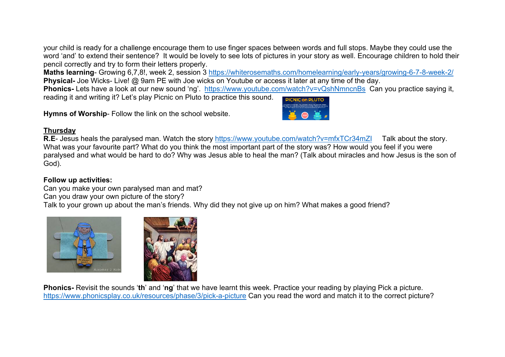your child is ready for a challenge encourage them to use finger spaces between words and full stops. Maybe they could use the word 'and' to extend their sentence? It would be lovely to see lots of pictures in your story as well. Encourage children to hold their pencil correctly and try to form their letters properly.

**Maths learning**- Growing 6,7,8!, week 2, session 3 https://whiterosemaths.com/homelearning/early-years/growing-6-7-8-week-2/ **Physical-** Joe Wicks- Live! @ 9am PE with Joe wicks on Youtube or access it later at any time of the day.

**Phonics-** Lets have a look at our new sound 'ng'. https://www.youtube.com/watch?v=vQshNmncnBs Can you practice saying it, reading it and writing it? Let's play Picnic on Pluto to practice this sound.

**Hymns of Worship**- Follow the link on the school website.



### **Thursday**

**R.E**- Jesus heals the paralysed man. Watch the story https://www.youtube.com/watch?v=mfxTCr34mZI Talk about the story. What was your favourite part? What do you think the most important part of the story was? How would you feel if you were paralysed and what would be hard to do? Why was Jesus able to heal the man? (Talk about miracles and how Jesus is the son of God).

### **Follow up activities:**

Can you make your own paralysed man and mat?

Can you draw your own picture of the story?

Talk to your grown up about the man's friends. Why did they not give up on him? What makes a good friend?





**Phonics-** Revisit the sounds '**th**' and '**ng**' that we have learnt this week. Practice your reading by playing Pick a picture. https://www.phonicsplay.co.uk/resources/phase/3/pick-a-picture Can you read the word and match it to the correct picture?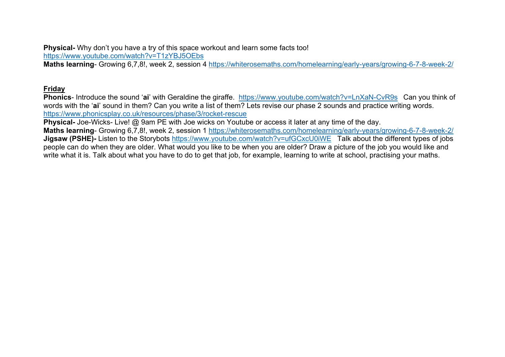**Physical-** Why don't you have a try of this space workout and learn some facts too! https://www.youtube.com/watch?v=T1zYBJ5OEbs

**Maths learning**- Growing 6,7,8!, week 2, session 4 https://whiterosemaths.com/homelearning/early-years/growing-6-7-8-week-2/

## **Friday**

**Phonics**- Introduce the sound '**ai**' with Geraldine the giraffe. https://www.youtube.com/watch?v=LnXaN-CvR9s Can you think of words with the '**ai**' sound in them? Can you write a list of them? Lets revise our phase 2 sounds and practice writing words. https://www.phonicsplay.co.uk/resources/phase/3/rocket-rescue

**Physical-** Joe-Wicks- Live! @ 9am PE with Joe wicks on Youtube or access it later at any time of the day.

**Maths learning**- Growing 6,7,8!, week 2, session 1 https://whiterosemaths.com/homelearning/early-years/growing-6-7-8-week-2/ **Jigsaw (PSHE)-** Listen to the Storybots https://www.youtube.com/watch?v=ufGCxcU0iWE Talk about the different types of jobs people can do when they are older. What would you like to be when you are older? Draw a picture of the job you would like and write what it is. Talk about what you have to do to get that job, for example, learning to write at school, practising your maths.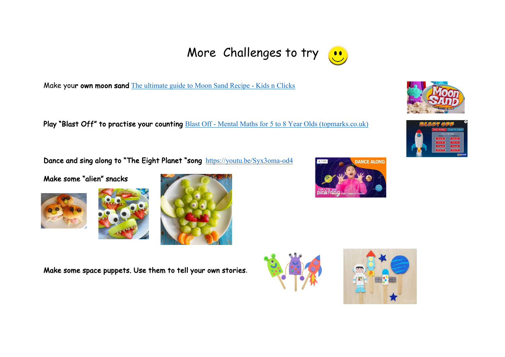Make your own moon sand The ultimate guide to Moon Sand Recipe - Kids n Clicks

Play "Blast Off" to practise your counting Blast Off - Mental Maths for 5 to 8 Year Olds (topmarks.co.uk)

Dance and sing along to "The Eight Planet "song https://youtu.be/Syx3oma-od4

Make some "alien" snacks







Make some space puppets. Use them to tell your own stories.











More Challenges to try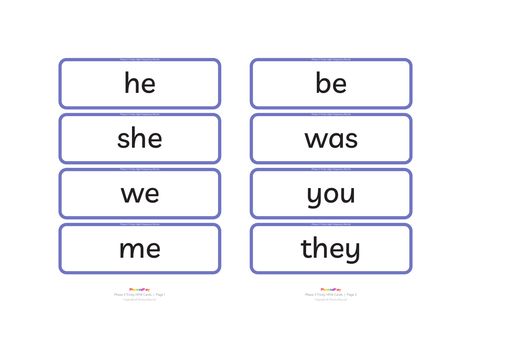

PhonicsPlay Phase 3 Tricky HFW Cards | Page 1 Copyright © PhonicsPlay Ltd

PhonicsPlay Phase 3 Tricky HFW Cards | Page 2 Copyright © PhonicsPlay Ltd